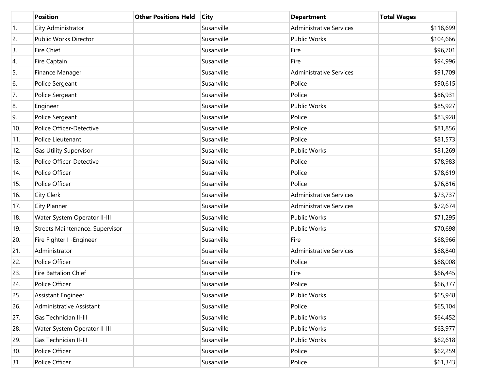|     | <b>Position</b>                 | <b>Other Positions Held</b> | <b>City</b> | <b>Department</b>              | <b>Total Wages</b> |
|-----|---------------------------------|-----------------------------|-------------|--------------------------------|--------------------|
| 1.  | City Administrator              |                             | Susanville  | <b>Administrative Services</b> | \$118,699          |
| 2.  | Public Works Director           |                             | Susanville  | <b>Public Works</b>            | \$104,666          |
| 3.  | Fire Chief                      |                             | Susanville  | Fire                           | \$96,701           |
| 4.  | Fire Captain                    |                             | Susanville  | Fire                           | \$94,996           |
| 5.  | Finance Manager                 |                             | Susanville  | <b>Administrative Services</b> | \$91,709           |
| 6.  | Police Sergeant                 |                             | Susanville  | Police                         | \$90,615           |
| 7.  | Police Sergeant                 |                             | Susanville  | Police                         | \$86,931           |
| 8.  | Engineer                        |                             | Susanville  | <b>Public Works</b>            | \$85,927           |
| 9.  | Police Sergeant                 |                             | Susanville  | Police                         | \$83,928           |
| 10. | Police Officer-Detective        |                             | Susanville  | Police                         | \$81,856           |
| 11. | Police Lieutenant               |                             | Susanville  | Police                         | \$81,573           |
| 12. | <b>Gas Utility Supervisor</b>   |                             | Susanville  | <b>Public Works</b>            | \$81,269           |
| 13. | Police Officer-Detective        |                             | Susanville  | Police                         | \$78,983           |
| 14. | Police Officer                  |                             | Susanville  | Police                         | \$78,619           |
| 15. | Police Officer                  |                             | Susanville  | Police                         | \$76,816           |
| 16. | City Clerk                      |                             | Susanville  | <b>Administrative Services</b> | \$73,737           |
| 17. | City Planner                    |                             | Susanville  | <b>Administrative Services</b> | \$72,674           |
| 18. | Water System Operator II-III    |                             | Susanville  | <b>Public Works</b>            | \$71,295           |
| 19. | Streets Maintenance. Supervisor |                             | Susanville  | Public Works                   | \$70,698           |
| 20. | Fire Fighter I -Engineer        |                             | Susanville  | Fire                           | \$68,966           |
| 21. | Administrator                   |                             | Susanville  | <b>Administrative Services</b> | \$68,840           |
| 22. | Police Officer                  |                             | Susanville  | Police                         | \$68,008           |
| 23. | Fire Battalion Chief            |                             | Susanville  | Fire                           | \$66,445           |
| 24. | Police Officer                  |                             | Susanville  | Police                         | \$66,377           |
| 25. | Assistant Engineer              |                             | Susanville  | Public Works                   | \$65,948           |
| 26. | Administrative Assistant        |                             | Susanville  | Police                         | \$65,104           |
| 27. | Gas Technician II-III           |                             | Susanville  | Public Works                   | \$64,452           |
| 28. | Water System Operator II-III    |                             | Susanville  | Public Works                   | \$63,977           |
| 29. | Gas Technician II-III           |                             | Susanville  | Public Works                   | \$62,618           |
| 30. | Police Officer                  |                             | Susanville  | Police                         | \$62,259           |
| 31. | Police Officer                  |                             | Susanville  | Police                         | \$61,343           |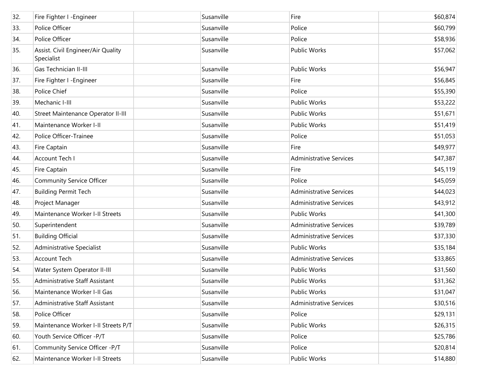| 32. | Fire Fighter I -Engineer                         | Susanville | Fire                           | \$60,874 |
|-----|--------------------------------------------------|------------|--------------------------------|----------|
| 33. | Police Officer                                   | Susanville | Police                         | \$60,799 |
| 34. | Police Officer                                   | Susanville | Police                         | \$58,936 |
| 35. | Assist. Civil Engineer/Air Quality<br>Specialist | Susanville | Public Works                   | \$57,062 |
| 36. | Gas Technician II-III                            | Susanville | <b>Public Works</b>            | \$56,947 |
| 37. | Fire Fighter I -Engineer                         | Susanville | Fire                           | \$56,845 |
| 38. | Police Chief                                     | Susanville | Police                         | \$55,390 |
| 39. | Mechanic I-III                                   | Susanville | Public Works                   | \$53,222 |
| 40. | Street Maintenance Operator II-III               | Susanville | Public Works                   | \$51,671 |
| 41. | Maintenance Worker I-II                          | Susanville | Public Works                   | \$51,419 |
| 42. | Police Officer-Trainee                           | Susanville | Police                         | \$51,053 |
| 43. | Fire Captain                                     | Susanville | Fire                           | \$49,977 |
| 44. | Account Tech I                                   | Susanville | <b>Administrative Services</b> | \$47,387 |
| 45. | Fire Captain                                     | Susanville | Fire                           | \$45,119 |
| 46. | <b>Community Service Officer</b>                 | Susanville | Police                         | \$45,059 |
| 47. | <b>Building Permit Tech</b>                      | Susanville | <b>Administrative Services</b> | \$44,023 |
| 48. | Project Manager                                  | Susanville | <b>Administrative Services</b> | \$43,912 |
| 49. | Maintenance Worker I-II Streets                  | Susanville | Public Works                   | \$41,300 |
| 50. | Superintendent                                   | Susanville | <b>Administrative Services</b> | \$39,789 |
| 51. | <b>Building Official</b>                         | Susanville | <b>Administrative Services</b> | \$37,330 |
| 52. | Administrative Specialist                        | Susanville | Public Works                   | \$35,184 |
| 53. | <b>Account Tech</b>                              | Susanville | <b>Administrative Services</b> | \$33,865 |
| 54. | Water System Operator II-III                     | Susanville | Public Works                   | \$31,560 |
| 55. | Administrative Staff Assistant                   | Susanville | Public Works                   | \$31,362 |
| 56. | Maintenance Worker I-II Gas                      | Susanville | Public Works                   | \$31,047 |
| 57. | Administrative Staff Assistant                   | Susanville | <b>Administrative Services</b> | \$30,516 |
| 58. | Police Officer                                   | Susanville | Police                         | \$29,131 |
| 59. | Maintenance Worker I-II Streets P/T              | Susanville | Public Works                   | \$26,315 |
| 60. | Youth Service Officer -P/T                       | Susanville | Police                         | \$25,786 |
| 61. | Community Service Officer -P/T                   | Susanville | Police                         | \$20,814 |
| 62. | Maintenance Worker I-II Streets                  | Susanville | Public Works                   | \$14,880 |